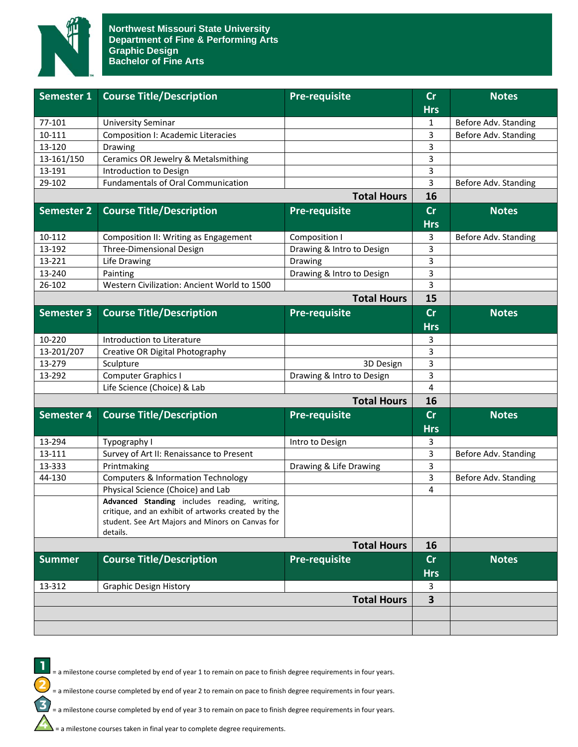

| Semester 1         | <b>Course Title/Description</b>                                                                                                                                     | <b>Pre-requisite</b>      | cr                      | <b>Notes</b>         |
|--------------------|---------------------------------------------------------------------------------------------------------------------------------------------------------------------|---------------------------|-------------------------|----------------------|
|                    |                                                                                                                                                                     |                           | <b>Hrs</b>              |                      |
| 77-101             | <b>University Seminar</b>                                                                                                                                           |                           | $\mathbf{1}$            | Before Adv. Standing |
| 10-111             | <b>Composition I: Academic Literacies</b>                                                                                                                           |                           | 3                       | Before Adv. Standing |
| 13-120             | Drawing                                                                                                                                                             |                           | 3                       |                      |
| 13-161/150         | Ceramics OR Jewelry & Metalsmithing                                                                                                                                 |                           | 3                       |                      |
| 13-191             | Introduction to Design                                                                                                                                              |                           | 3                       |                      |
| 29-102             | <b>Fundamentals of Oral Communication</b>                                                                                                                           |                           | 3                       | Before Adv. Standing |
|                    |                                                                                                                                                                     | <b>Total Hours</b>        | 16                      |                      |
| Semester 2         | <b>Course Title/Description</b>                                                                                                                                     | <b>Pre-requisite</b>      | cr<br><b>Hrs</b>        | <b>Notes</b>         |
| 10-112             | Composition II: Writing as Engagement                                                                                                                               | Composition I             | 3                       | Before Adv. Standing |
| 13-192             | Three-Dimensional Design                                                                                                                                            | Drawing & Intro to Design | 3                       |                      |
| 13-221             | Life Drawing                                                                                                                                                        | Drawing                   | 3                       |                      |
| 13-240             | Painting                                                                                                                                                            | Drawing & Intro to Design | 3                       |                      |
| 26-102             | Western Civilization: Ancient World to 1500                                                                                                                         |                           | 3                       |                      |
|                    |                                                                                                                                                                     | <b>Total Hours</b>        | 15                      |                      |
| <b>Semester 3</b>  | <b>Course Title/Description</b>                                                                                                                                     | <b>Pre-requisite</b>      | cr                      | <b>Notes</b>         |
|                    |                                                                                                                                                                     |                           | <b>Hrs</b>              |                      |
| 10-220             | Introduction to Literature                                                                                                                                          |                           | 3                       |                      |
| 13-201/207         | Creative OR Digital Photography                                                                                                                                     |                           | 3                       |                      |
| 13-279             | Sculpture                                                                                                                                                           |                           | 3                       |                      |
|                    |                                                                                                                                                                     | 3D Design                 |                         |                      |
| 13-292             | Computer Graphics I                                                                                                                                                 | Drawing & Intro to Design | 3<br>$\overline{4}$     |                      |
|                    | Life Science (Choice) & Lab                                                                                                                                         |                           |                         |                      |
| <b>Total Hours</b> |                                                                                                                                                                     |                           | 16                      |                      |
| Semester 4         | <b>Course Title/Description</b>                                                                                                                                     | <b>Pre-requisite</b>      | cr<br><b>Hrs</b>        | <b>Notes</b>         |
| 13-294             | Typography I                                                                                                                                                        | Intro to Design           | 3                       |                      |
| 13-111             | Survey of Art II: Renaissance to Present                                                                                                                            |                           | 3                       | Before Adv. Standing |
| 13-333             | Printmaking                                                                                                                                                         | Drawing & Life Drawing    | 3                       |                      |
| 44-130             | <b>Computers &amp; Information Technology</b>                                                                                                                       |                           | 3                       | Before Adv. Standing |
|                    | Physical Science (Choice) and Lab                                                                                                                                   |                           | $\overline{4}$          |                      |
|                    | Advanced Standing includes reading, writing,<br>critique, and an exhibit of artworks created by the<br>student. See Art Majors and Minors on Canvas for<br>details. |                           |                         |                      |
|                    | <b>Total Hours</b>                                                                                                                                                  |                           | 16                      |                      |
| <b>Summer</b>      | <b>Course Title/Description</b>                                                                                                                                     | <b>Pre-requisite</b>      | cr                      | <b>Notes</b>         |
|                    |                                                                                                                                                                     |                           |                         |                      |
|                    |                                                                                                                                                                     |                           | <b>Hrs</b>              |                      |
| 13-312             | <b>Graphic Design History</b>                                                                                                                                       |                           | 3                       |                      |
|                    |                                                                                                                                                                     | <b>Total Hours</b>        | $\overline{\mathbf{3}}$ |                      |



= a milestone course completed by end of year 1 to remain on pace to finish degree requirements in four years.

= a milestone course completed by end of year 2 to remain on pace to finish degree requirements in four years.

= a milestone course completed by end of year 3 to remain on pace to finish degree requirements in four years.

 $\sum$  = a milestone courses taken in final year to complete degree requirements.